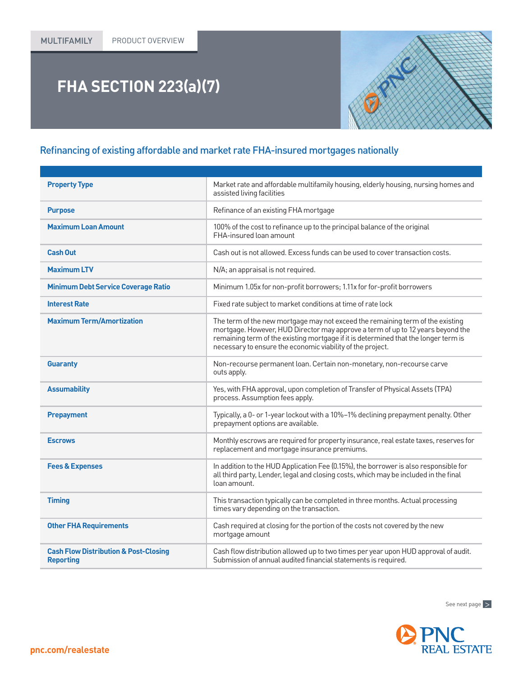## **FHA SECTION 223(a)(7)**

## Refinancing of existing affordable and market rate FHA-insured mortgages nationally

| <b>Property Type</b>                                                 | Market rate and affordable multifamily housing, elderly housing, nursing homes and<br>assisted living facilities                                                                                                                                                                                                       |
|----------------------------------------------------------------------|------------------------------------------------------------------------------------------------------------------------------------------------------------------------------------------------------------------------------------------------------------------------------------------------------------------------|
| <b>Purpose</b>                                                       | Refinance of an existing FHA mortgage                                                                                                                                                                                                                                                                                  |
| <b>Maximum Loan Amount</b>                                           | 100% of the cost to refinance up to the principal balance of the original<br>FHA-insured loan amount                                                                                                                                                                                                                   |
| Cash Out                                                             | Cash out is not allowed. Excess funds can be used to cover transaction costs.                                                                                                                                                                                                                                          |
| <b>Maximum LTV</b>                                                   | N/A; an appraisal is not required.                                                                                                                                                                                                                                                                                     |
| <b>Minimum Debt Service Coverage Ratio</b>                           | Minimum 1.05x for non-profit borrowers; 1.11x for for-profit borrowers                                                                                                                                                                                                                                                 |
| <b>Interest Rate</b>                                                 | Fixed rate subject to market conditions at time of rate lock                                                                                                                                                                                                                                                           |
| <b>Maximum Term/Amortization</b>                                     | The term of the new mortgage may not exceed the remaining term of the existing<br>mortgage. However, HUD Director may approve a term of up to 12 years beyond the<br>remaining term of the existing mortgage if it is determined that the longer term is<br>necessary to ensure the economic viability of the project. |
| <b>Guaranty</b>                                                      | Non-recourse permanent loan. Certain non-monetary, non-recourse carve<br>outs apply.                                                                                                                                                                                                                                   |
| <b>Assumability</b>                                                  | Yes, with FHA approval, upon completion of Transfer of Physical Assets (TPA)<br>process. Assumption fees apply.                                                                                                                                                                                                        |
| <b>Prepayment</b>                                                    | Typically, a 0- or 1-year lockout with a 10%-1% declining prepayment penalty. Other<br>prepayment options are available.                                                                                                                                                                                               |
| <b>Escrows</b>                                                       | Monthly escrows are required for property insurance, real estate taxes, reserves for<br>replacement and mortgage insurance premiums.                                                                                                                                                                                   |
| <b>Fees &amp; Expenses</b>                                           | In addition to the HUD Application Fee (0.15%), the borrower is also responsible for<br>all third party, Lender, legal and closing costs, which may be included in the final<br>loan amount.                                                                                                                           |
| <b>Timing</b>                                                        | This transaction typically can be completed in three months. Actual processing<br>times vary depending on the transaction.                                                                                                                                                                                             |
| <b>Other FHA Requirements</b>                                        | Cash required at closing for the portion of the costs not covered by the new<br>mortgage amount                                                                                                                                                                                                                        |
| <b>Cash Flow Distribution &amp; Post-Closing</b><br><b>Reporting</b> | Cash flow distribution allowed up to two times per year upon HUD approval of audit.<br>Submission of annual audited financial statements is required.                                                                                                                                                                  |